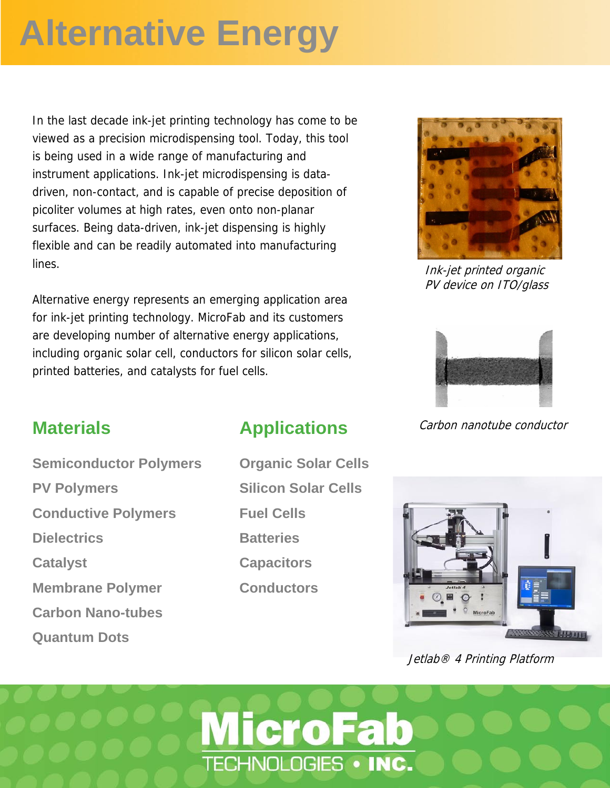# **Alternative Energy**

 viewed as a precision microdispensing tool. Today, this tool In the last decade ink-jet printing technology has come to be is being used in a wide range of manufacturing and instrument applications. Ink-jet microdispensing is datadriven, non-contact, and is capable of precise deposition of picoliter volumes at high rates, even onto non-planar surfaces. Being data-driven, ink-jet dispensing is highly flexible and can be readily automated into manufacturing lines.

Alternative energy represents an emerging application area for ink-jet printing technology. MicroFab and its customers are developing number of alternative energy applications, including organic solar cell, conductors for silicon solar cells, printed batteries, and catalysts for fuel cells.



Ink-jet printed organic PV device on ITO/glass



#### Carbon nanotube conductor

**Semiconductor Polymers PV Polymers Conductive Polymers Dielectrics Catalyst Membrane Polymer Carbon Nano-tubes Quantum Dots**

**Materials**

#### **Applications**

**Organic Solar Cells Silicon Solar Cells Fuel Cells Batteries Capacitors Conductors**

**MicroFab** 

TECHNOLOGIES . INC.



Jetlab® 4 Printing Platform